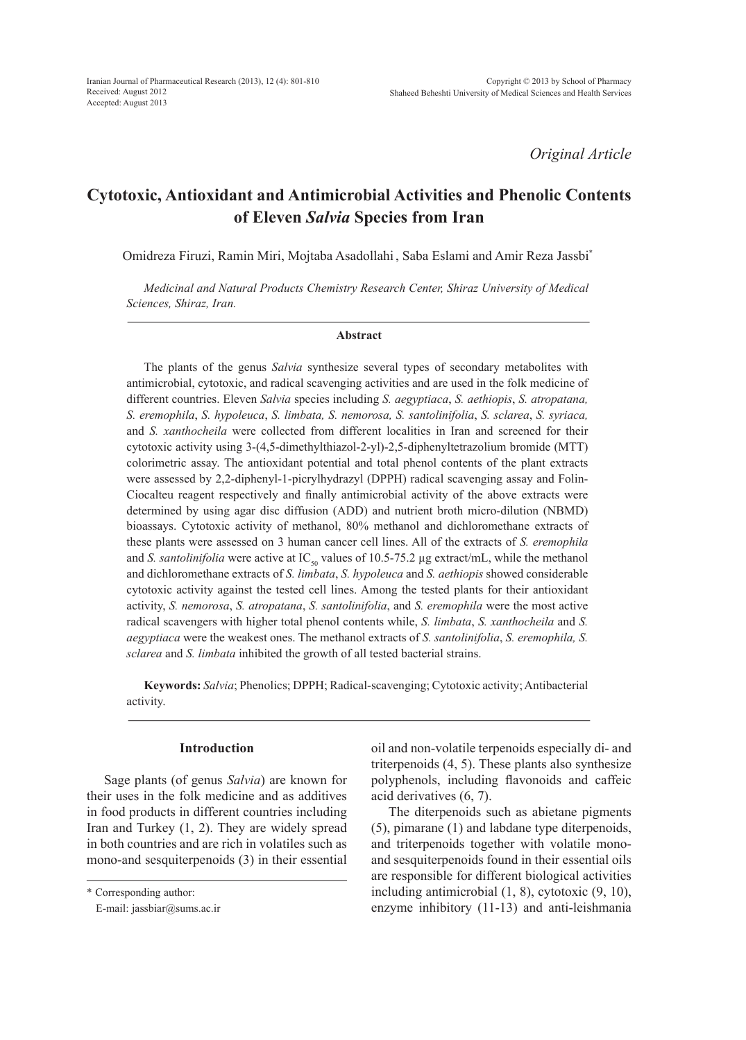*Original Article*

# **Cytotoxic, Antioxidant and Antimicrobial Activities and Phenolic Contents of Eleven** *Salvia* **Species from Iran**

Omidreza Firuzi, Ramin Miri, Mojtaba Asadollahi , Saba Eslami and Amir Reza Jassbi\*

*Medicinal and Natural Products Chemistry Research Center, Shiraz University of Medical Sciences, Shiraz, Iran.*

#### **Abstract**

The plants of the genus *Salvia* synthesize several types of secondary metabolites with antimicrobial, cytotoxic, and radical scavenging activities and are used in the folk medicine of different countries. Eleven *Salvia* species including *S. aegyptiaca*, *S. aethiopis*, *S. atropatana, S. eremophila*, *S. hypoleuca*, *S. limbata, S. nemorosa, S. santolinifolia*, *S. sclarea*, *S. syriaca,* and *S. xanthocheila* were collected from different localities in Iran and screened for their cytotoxic activity using 3-(4,5-dimethylthiazol-2-yl)-2,5-diphenyltetrazolium bromide (MTT) colorimetric assay. The antioxidant potential and total phenol contents of the plant extracts were assessed by 2,2-diphenyl-1-picrylhydrazyl (DPPH) radical scavenging assay and Folin-Ciocalteu reagent respectively and finally antimicrobial activity of the above extracts were determined by using agar disc diffusion (ADD) and nutrient broth micro-dilution (NBMD) bioassays. Cytotoxic activity of methanol, 80% methanol and dichloromethane extracts of these plants were assessed on 3 human cancer cell lines. All of the extracts of *S. eremophila* and *S. santolinifolia* were active at IC<sub>50</sub> values of 10.5-75.2 µg extract/mL, while the methanol and dichloromethane extracts of *S. limbata*, *S. hypoleuca* and *S. aethiopis* showed considerable cytotoxic activity against the tested cell lines. Among the tested plants for their antioxidant activity, *S. nemorosa*, *S. atropatana*, *S. santolinifolia*, and *S. eremophila* were the most active radical scavengers with higher total phenol contents while, *S. limbata*, *S. xanthocheila* and *S. aegyptiaca* were the weakest ones. The methanol extracts of *S. santolinifolia*, *S. eremophila, S. sclarea* and *S. limbata* inhibited the growth of all tested bacterial strains.

**Keywords:** *Salvia*; Phenolics; DPPH; Radical-scavenging; Cytotoxic activity; Antibacterial activity.

## **Introduction**

Sage plants (of genus *Salvia*) are known for their uses in the folk medicine and as additives in food products in different countries including Iran and Turkey (1, 2). They are widely spread in both countries and are rich in volatiles such as mono-and sesquiterpenoids (3) in their essential oil and non-volatile terpenoids especially di- and triterpenoids (4, 5). These plants also synthesize polyphenols, including flavonoids and caffeic acid derivatives (6, 7).

The diterpenoids such as abietane pigments (5), pimarane (1) and labdane type diterpenoids, and triterpenoids together with volatile monoand sesquiterpenoids found in their essential oils are responsible for different biological activities including antimicrobial (1, 8), cytotoxic (9, 10), enzyme inhibitory (11-13) and anti-leishmania

<sup>\*</sup> Corresponding author:

E-mail: jassbiar@sums.ac.ir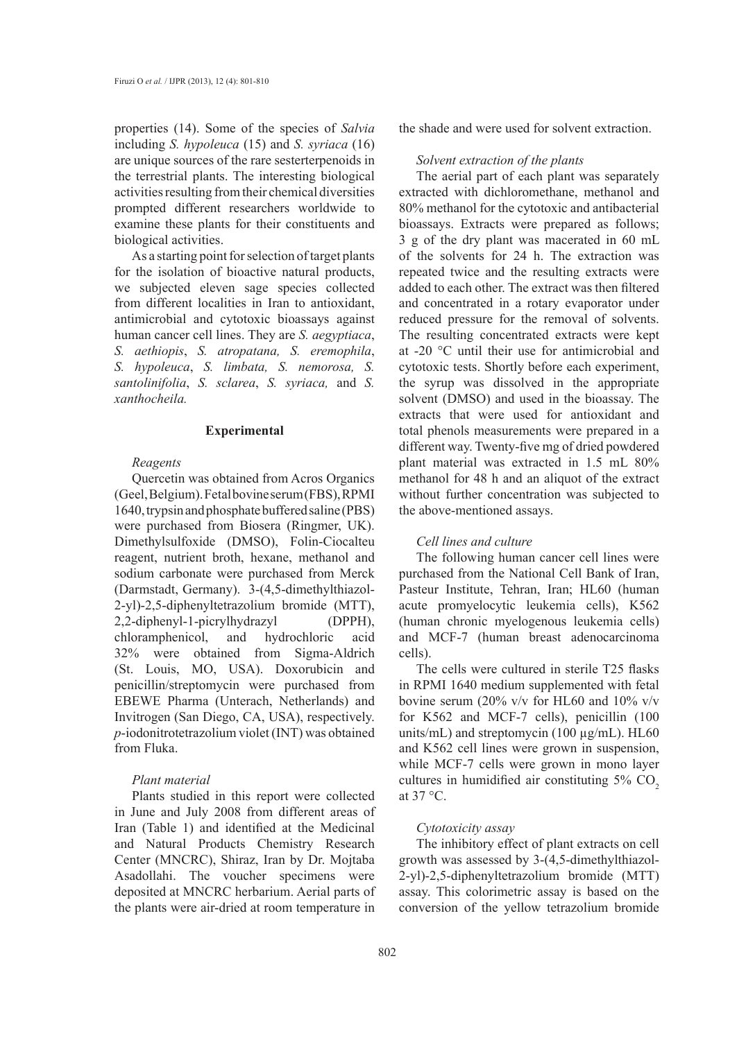properties (14). Some of the species of *Salvia* including *S. hypoleuca* (15) and *S. syriaca* (16) are unique sources of the rare sesterterpenoids in the terrestrial plants. The interesting biological activities resulting from their chemical diversities prompted different researchers worldwide to examine these plants for their constituents and biological activities.

As a starting point for selection of target plants for the isolation of bioactive natural products, we subjected eleven sage species collected from different localities in Iran to antioxidant, antimicrobial and cytotoxic bioassays against human cancer cell lines. They are *S. aegyptiaca*, *S. aethiopis*, *S. atropatana, S. eremophila*, *S. hypoleuca*, *S. limbata, S. nemorosa, S. santolinifolia*, *S. sclarea*, *S. syriaca,* and *S. xanthocheila.*

## **Experimental**

# *Reagents*

Quercetin was obtained from Acros Organics (Geel, Belgium). Fetal bovine serum (FBS), RPMI 1640, trypsin and phosphate buffered saline (PBS) were purchased from Biosera (Ringmer, UK). Dimethylsulfoxide (DMSO), Folin-Ciocalteu reagent, nutrient broth, hexane, methanol and sodium carbonate were purchased from Merck (Darmstadt, Germany). 3-(4,5-dimethylthiazol-2-yl)-2,5-diphenyltetrazolium bromide (MTT), 2,2-diphenyl-1-picrylhydrazyl (DPPH), chloramphenicol, and hydrochloric acid 32% were obtained from Sigma-Aldrich (St. Louis, MO, USA). Doxorubicin and penicillin/streptomycin were purchased from EBEWE Pharma (Unterach, Netherlands) and Invitrogen (San Diego, CA, USA), respectively. *p*-iodonitrotetrazolium violet (INT) was obtained from Fluka.

## *Plant material*

Plants studied in this report were collected in June and July 2008 from different areas of Iran (Table 1) and identified at the Medicinal and Natural Products Chemistry Research Center (MNCRC), Shiraz, Iran by Dr. Mojtaba Asadollahi. The voucher specimens were deposited at MNCRC herbarium. Aerial parts of the plants were air-dried at room temperature in

the shade and were used for solvent extraction.

#### *Solvent extraction of the plants*

The aerial part of each plant was separately extracted with dichloromethane, methanol and 80% methanol for the cytotoxic and antibacterial bioassays. Extracts were prepared as follows; 3 g of the dry plant was macerated in 60 mL of the solvents for 24 h. The extraction was repeated twice and the resulting extracts were added to each other. The extract was then filtered and concentrated in a rotary evaporator under reduced pressure for the removal of solvents. The resulting concentrated extracts were kept at -20 °C until their use for antimicrobial and cytotoxic tests. Shortly before each experiment, the syrup was dissolved in the appropriate solvent (DMSO) and used in the bioassay. The extracts that were used for antioxidant and total phenols measurements were prepared in a different way. Twenty-five mg of dried powdered plant material was extracted in 1.5 mL 80% methanol for 48 h and an aliquot of the extract without further concentration was subjected to the above-mentioned assays.

# *Cell lines and culture*

The following human cancer cell lines were purchased from the National Cell Bank of Iran, Pasteur Institute, Tehran, Iran; HL60 (human acute promyelocytic leukemia cells), K562 (human chronic myelogenous leukemia cells) and MCF-7 (human breast adenocarcinoma cells).

The cells were cultured in sterile T25 flasks in RPMI 1640 medium supplemented with fetal bovine serum (20% v/v for HL60 and 10% v/v for K562 and MCF-7 cells), penicillin (100 units/mL) and streptomycin (100 µg/mL). HL60 and K562 cell lines were grown in suspension, while MCF-7 cells were grown in mono layer cultures in humidified air constituting 5% CO<sub>2</sub> at 37 °C.

## *Cytotoxicity assay*

The inhibitory effect of plant extracts on cell growth was assessed by 3-(4,5-dimethylthiazol-2-yl)-2,5-diphenyltetrazolium bromide (MTT) assay. This colorimetric assay is based on the conversion of the yellow tetrazolium bromide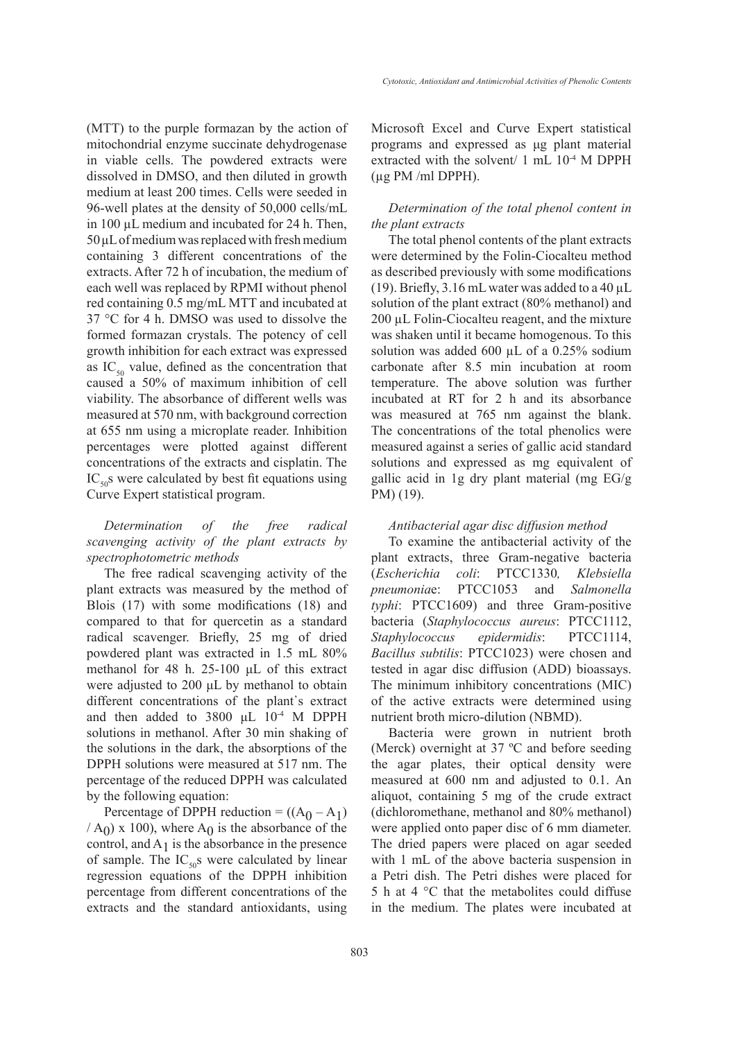(MTT) to the purple formazan by the action of mitochondrial enzyme succinate dehydrogenase in viable cells. The powdered extracts were dissolved in DMSO, and then diluted in growth medium at least 200 times. Cells were seeded in 96-well plates at the density of 50,000 cells/mL in 100 µL medium and incubated for 24 h. Then,  $50 \mu L$  of medium was replaced with fresh medium containing 3 different concentrations of the extracts. After 72 h of incubation, the medium of each well was replaced by RPMI without phenol red containing 0.5 mg/mL MTT and incubated at 37 °C for 4 h. DMSO was used to dissolve the formed formazan crystals. The potency of cell growth inhibition for each extract was expressed as  $IC_{50}$  value, defined as the concentration that caused a 50% of maximum inhibition of cell viability. The absorbance of different wells was measured at 570 nm, with background correction at 655 nm using a microplate reader. Inhibition percentages were plotted against different concentrations of the extracts and cisplatin. The  $IC_{50}$ s were calculated by best fit equations using Curve Expert statistical program.

# *Determination of the free radical scavenging activity of the plant extracts by spectrophotometric methods*

The free radical scavenging activity of the plant extracts was measured by the method of Blois (17) with some modifications (18) and compared to that for quercetin as a standard radical scavenger. Briefly, 25 mg of dried powdered plant was extracted in 1.5 mL 80% methanol for 48 h. 25-100 μL of this extract were adjusted to 200 μL by methanol to obtain different concentrations of the plant's extract and then added to 3800 μL 10-4 M DPPH solutions in methanol. After 30 min shaking of the solutions in the dark, the absorptions of the DPPH solutions were measured at 517 nm. The percentage of the reduced DPPH was calculated by the following equation:

Percentage of DPPH reduction =  $((A_0 - A_1))$  $(A<sub>0</sub>)$  x 100), where  $A<sub>0</sub>$  is the absorbance of the control, and  $A_1$  is the absorbance in the presence of sample. The  $IC_{50}$ s were calculated by linear regression equations of the DPPH inhibition percentage from different concentrations of the extracts and the standard antioxidants, using Microsoft Excel and Curve Expert statistical programs and expressed as μg plant material extracted with the solvent/ 1 mL 10<sup>-4</sup> M DPPH  $(\mu$ g PM/ml DPPH).

## *Determination of the total phenol content in the plant extracts*

The total phenol contents of the plant extracts were determined by the Folin-Ciocalteu method as described previously with some modifications (19). Briefly, 3.16 mL water was added to a 40  $\mu$ L solution of the plant extract (80% methanol) and 200 µL Folin-Ciocalteu reagent, and the mixture was shaken until it became homogenous. To this solution was added 600  $\mu$ L of a 0.25% sodium carbonate after 8.5 min incubation at room temperature. The above solution was further incubated at RT for 2 h and its absorbance was measured at 765 nm against the blank. The concentrations of the total phenolics were measured against a series of gallic acid standard solutions and expressed as mg equivalent of gallic acid in 1g dry plant material (mg EG/g PM) (19).

#### *Antibacterial agar disc diffusion method*

To examine the antibacterial activity of the plant extracts, three Gram-negative bacteria (*Escherichia coli*: PTCC1330*, Klebsiella pneumonia*e: PTCC1053 and *Salmonella typhi*: PTCC1609) and three Gram-positive bacteria (*Staphylococcus aureus*: PTCC1112, *Staphylococcus epidermidis*: PTCC1114, *Bacillus subtilis*: PTCC1023) were chosen and tested in agar disc diffusion (ADD) bioassays. The minimum inhibitory concentrations (MIC) of the active extracts were determined using nutrient broth micro-dilution (NBMD).

Bacteria were grown in nutrient broth (Merck) overnight at 37 ºC and before seeding the agar plates, their optical density were measured at 600 nm and adjusted to 0.1. An aliquot, containing 5 mg of the crude extract (dichloromethane, methanol and 80% methanol) were applied onto paper disc of 6 mm diameter. The dried papers were placed on agar seeded with 1 mL of the above bacteria suspension in a Petri dish. The Petri dishes were placed for 5 h at 4 °C that the metabolites could diffuse in the medium. The plates were incubated at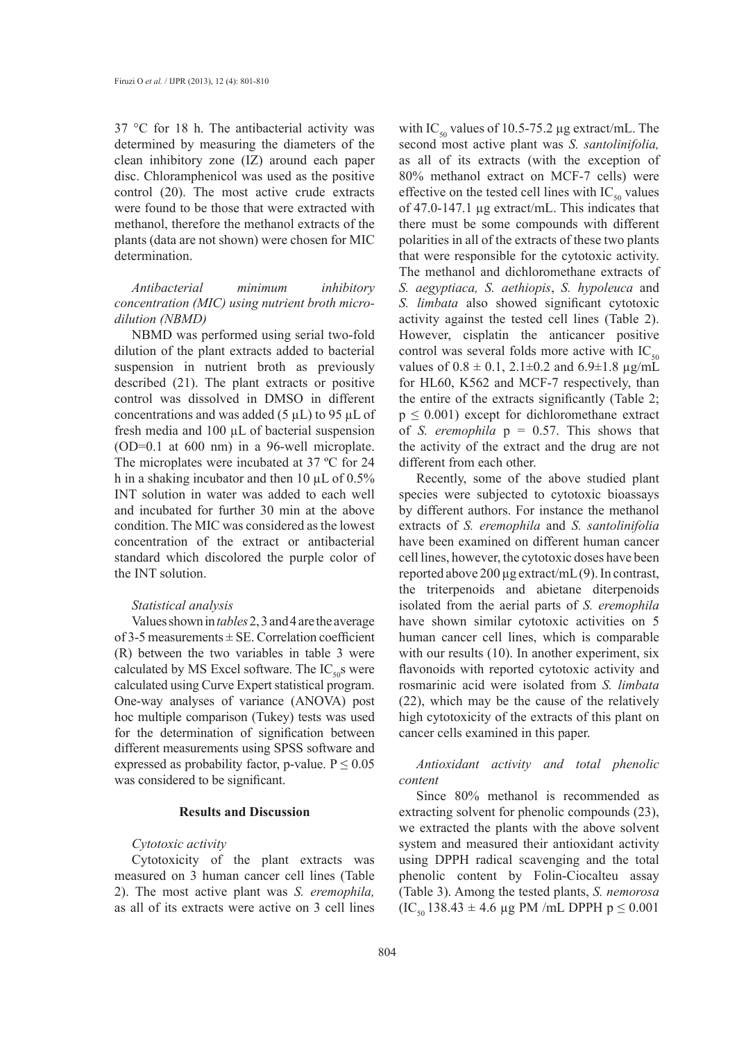37 °C for 18 h. The antibacterial activity was determined by measuring the diameters of the clean inhibitory zone (IZ) around each paper disc. Chloramphenicol was used as the positive control (20). The most active crude extracts were found to be those that were extracted with methanol, therefore the methanol extracts of the plants (data are not shown) were chosen for MIC determination.

*Antibacterial minimum inhibitory concentration (MIC) using nutrient broth microdilution (NBMD)*

NBMD was performed using serial two-fold dilution of the plant extracts added to bacterial suspension in nutrient broth as previously described (21). The plant extracts or positive control was dissolved in DMSO in different concentrations and was added (5  $\mu$ L) to 95  $\mu$ L of fresh media and 100 µL of bacterial suspension (OD=0.1 at 600 nm) in a 96-well microplate. The microplates were incubated at 37 ºC for 24 h in a shaking incubator and then 10  $\mu$ L of 0.5% INT solution in water was added to each well and incubated for further 30 min at the above condition. The MIC was considered as the lowest concentration of the extract or antibacterial standard which discolored the purple color of the INT solution.

#### *Statistical analysis*

Values shown in *tables* 2, 3 and 4 are the average of 3-5 measurements  $\pm$  SE. Correlation coefficient (R) between the two variables in table 3 were calculated by MS Excel software. The  $IC_{50}$ s were calculated using Curve Expert statistical program. One-way analyses of variance (ANOVA) post hoc multiple comparison (Tukey) tests was used for the determination of signification between different measurements using SPSS software and expressed as probability factor, p-value.  $P \le 0.05$ was considered to be significant.

# **Results and Discussion**

#### *Cytotoxic activity*

Cytotoxicity of the plant extracts was measured on 3 human cancer cell lines (Table 2). The most active plant was *S. eremophila,*  as all of its extracts were active on 3 cell lines with IC<sub>50</sub> values of 10.5-75.2 µg extract/mL. The second most active plant was *S. santolinifolia,*  as all of its extracts (with the exception of 80% methanol extract on MCF-7 cells) were effective on the tested cell lines with  $IC_{50}$  values of 47.0-147.1 µg extract/mL. This indicates that there must be some compounds with different polarities in all of the extracts of these two plants that were responsible for the cytotoxic activity. The methanol and dichloromethane extracts of *S. aegyptiaca, S. aethiopis*, *S. hypoleuca* and *S. limbata* also showed significant cytotoxic activity against the tested cell lines (Table 2). However, cisplatin the anticancer positive control was several folds more active with  $IC_{50}$ values of  $0.8 \pm 0.1$ ,  $2.1 \pm 0.2$  and  $6.9 \pm 1.8$  µg/mL for HL60, K562 and MCF-7 respectively, than the entire of the extracts significantly (Table 2;  $p \leq 0.001$ ) except for dichloromethane extract of *S. eremophila*  $p = 0.57$ . This shows that the activity of the extract and the drug are not different from each other.

Recently, some of the above studied plant species were subjected to cytotoxic bioassays by different authors. For instance the methanol extracts of *S. eremophila* and *S. santolinifolia* have been examined on different human cancer cell lines, however, the cytotoxic doses have been reported above 200 µg extract/mL (9). In contrast, the triterpenoids and abietane diterpenoids isolated from the aerial parts of *S. eremophila* have shown similar cytotoxic activities on 5 human cancer cell lines, which is comparable with our results (10). In another experiment, six flavonoids with reported cytotoxic activity and rosmarinic acid were isolated from *S. limbata* (22), which may be the cause of the relatively high cytotoxicity of the extracts of this plant on cancer cells examined in this paper.

*Antioxidant activity and total phenolic content*

Since 80% methanol is recommended as extracting solvent for phenolic compounds (23), we extracted the plants with the above solvent system and measured their antioxidant activity using DPPH radical scavenging and the total phenolic content by Folin-Ciocalteu assay (Table 3). Among the tested plants, *S. nemorosa*   $(IC_{50} 138.43 \pm 4.6 \,\mu g$  PM /mL DPPH  $p \le 0.001$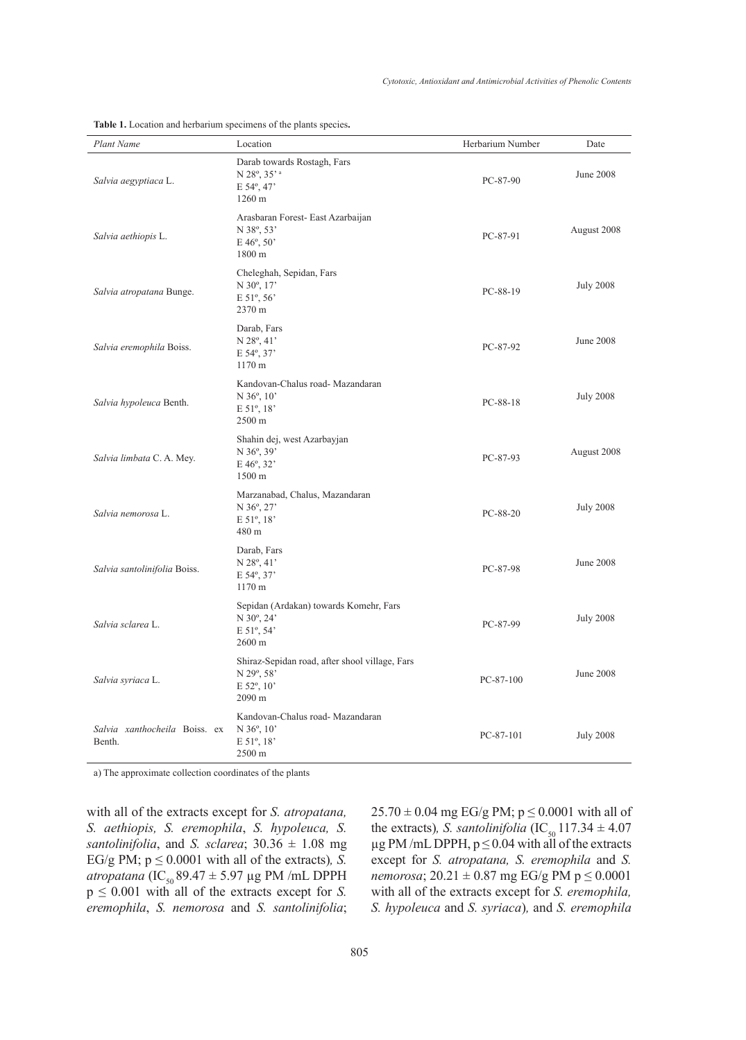| Plant Name                              | Location                                                                                        | Herbarium Number | Date             |
|-----------------------------------------|-------------------------------------------------------------------------------------------------|------------------|------------------|
| Salvia aegyptiaca L.                    | Darab towards Rostagh, Fars<br>N 28°, 35' <sup>a</sup><br>E 54°, 47'<br>1260 m                  | PC-87-90         | <b>June 2008</b> |
| Salvia aethiopis L.                     | Arasbaran Forest- East Azarbaijan<br>N 38°, 53'<br>$E\,46^{\circ}, 50^{\circ}$<br>1800 m        | PC-87-91         | August 2008      |
| Salvia atropatana Bunge.                | Cheleghah, Sepidan, Fars<br>N 30°, 17'<br>E 51°, 56'<br>2370 m                                  | PC-88-19         | <b>July 2008</b> |
| Salvia eremophila Boiss.                | Darab, Fars<br>N 28°, 41'<br>E 54°, 37'<br>1170 m                                               | PC-87-92         | <b>June 2008</b> |
| Salvia hypoleuca Benth.                 | Kandovan-Chalus road- Mazandaran<br>N 36°, 10'<br>E 51°, 18'<br>2500 m                          | PC-88-18         | <b>July 2008</b> |
| Salvia limbata C. A. Mey.               | Shahin dej, west Azarbayjan<br>N 36°, 39'<br>E 46°, 32'<br>1500 m                               | PC-87-93         | August 2008      |
| Salvia nemorosa L.                      | Marzanabad, Chalus, Mazandaran<br>N 36°, 27'<br>$E 51^{\circ}, 18^{\circ}$<br>480 m             | PC-88-20         | <b>July 2008</b> |
| Salvia santolinifolia Boiss.            | Darab, Fars<br>$N$ 28 $^{\circ}$ , 41'<br>E 54°, 37'<br>1170 m                                  | PC-87-98         | June 2008        |
| Salvia sclarea L.                       | Sepidan (Ardakan) towards Komehr, Fars<br>N 30°, 24'<br>E 51°, 54'<br>2600 m                    | PC-87-99         | <b>July 2008</b> |
| Salvia syriaca L.                       | Shiraz-Sepidan road, after shool village, Fars<br>N 29°, 58'<br>E 52°, 10'<br>2090 m            | $PC-87-100$      | <b>June 2008</b> |
| Salvia xanthocheila Boiss. ex<br>Benth. | Kandovan-Chalus road- Mazandaran<br>$N$ 36 $^{\circ}$ , 10 <sup>2</sup><br>E 51°, 18'<br>2500 m | $PC-87-101$      | <b>July 2008</b> |

**Table 1.** Location and herbarium specimens of the plants species**.**

a) The approximate collection coordinates of the plants

with all of the extracts except for *S. atropatana, S. aethiopis, S. eremophila*, *S. hypoleuca, S. santolinifolia*, and *S. sclarea*;  $30.36 \pm 1.08$  mg EG/g PM;  $p \le 0.0001$  with all of the extracts), *S*. *atropatana* (IC<sub>50</sub> 89.47 ± 5.97 µg PM /mL DPPH  $p \leq 0.001$  with all of the extracts except for *S*. *eremophila*, *S. nemorosa* and *S. santolinifolia*;  $25.70 \pm 0.04$  mg EG/g PM;  $p \le 0.0001$  with all of the extracts)*, S. santolinifolia*  $(IC_{50} 117.34 \pm 4.07)$  $\mu$ g PM /mL DPPH, p  $\leq$  0.04 with all of the extracts except for *S. atropatana, S. eremophila* and *S. nemorosa*;  $20.21 \pm 0.87$  mg EG/g PM  $p \le 0.0001$ with all of the extracts except for *S. eremophila, S. hypoleuca* and *S. syriaca*)*,* and *S. eremophila*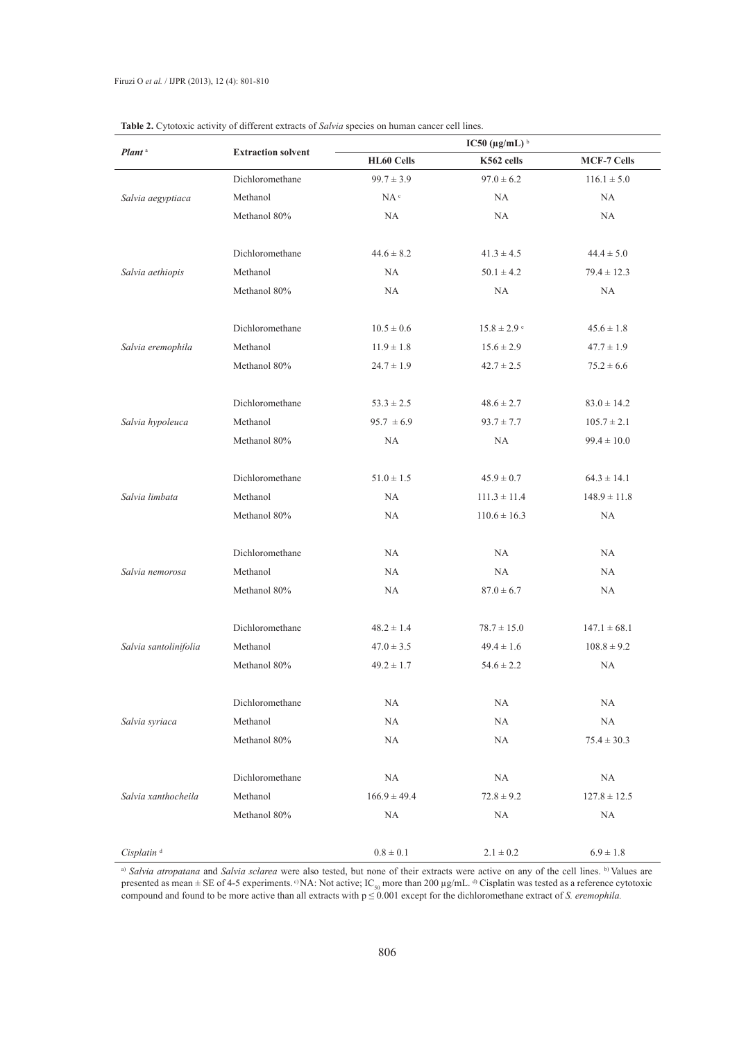|                        | <b>Extraction solvent</b> | IC50 ( $\mu$ g/mL) <sup>b</sup> |                             |                    |  |
|------------------------|---------------------------|---------------------------------|-----------------------------|--------------------|--|
| Plant <sup>a</sup>     |                           | HL60 Cells                      | K562 cells                  | <b>MCF-7 Cells</b> |  |
|                        | Dichloromethane           | $99.7 \pm 3.9$                  | $97.0 \pm 6.2$              | $116.1 \pm 5.0$    |  |
| Salvia aegyptiaca      | Methanol                  | $NA^c$                          | <b>NA</b>                   | <b>NA</b>          |  |
|                        | Methanol 80%              | <b>NA</b>                       | <b>NA</b>                   | <b>NA</b>          |  |
|                        |                           |                                 |                             |                    |  |
|                        | Dichloromethane           | $44.6 \pm 8.2$                  | $41.3 \pm 4.5$              | $44.4 \pm 5.0$     |  |
| Salvia aethiopis       | Methanol                  | NA                              | $50.1 \pm 4.2$              | $79.4 \pm 12.3$    |  |
|                        | Methanol 80%              | NA                              | NA                          | NA                 |  |
|                        |                           |                                 |                             |                    |  |
|                        | Dichloromethane           | $10.5 \pm 0.6$                  | $15.8 \pm 2.9$ <sup>e</sup> | $45.6 \pm 1.8$     |  |
| Salvia eremophila      | Methanol                  | $11.9 \pm 1.8$                  | $15.6 \pm 2.9$              | $47.7 \pm 1.9$     |  |
|                        | Methanol 80%              | $24.7 \pm 1.9$                  | $42.7 \pm 2.5$              | $75.2 \pm 6.6$     |  |
|                        |                           |                                 |                             |                    |  |
|                        | Dichloromethane           | $53.3 \pm 2.5$                  | $48.6 \pm 2.7$              | $83.0 \pm 14.2$    |  |
| Salvia hypoleuca       | Methanol                  | $95.7 \pm 6.9$                  | $93.7 \pm 7.7$              | $105.7 \pm 2.1$    |  |
|                        | Methanol 80%              | NA                              | NA                          | $99.4 \pm 10.0$    |  |
|                        |                           |                                 |                             |                    |  |
|                        | Dichloromethane           | $51.0 \pm 1.5$                  | $45.9 \pm 0.7$              | $64.3 \pm 14.1$    |  |
| Salvia limbata         | Methanol                  | NA                              | $111.3 \pm 11.4$            | $148.9 \pm 11.8$   |  |
|                        | Methanol 80%              | NA                              | $110.6 \pm 16.3$            | <b>NA</b>          |  |
|                        |                           |                                 |                             |                    |  |
|                        | Dichloromethane           | <b>NA</b>                       | NA                          | NA                 |  |
| Salvia nemorosa        | Methanol                  | NA                              | <b>NA</b>                   | NA                 |  |
|                        | Methanol 80%              | NA                              | $87.0 \pm 6.7$              | <b>NA</b>          |  |
|                        |                           |                                 |                             |                    |  |
|                        | Dichloromethane           | $48.2 \pm 1.4$                  | $78.7 \pm 15.0$             | $147.1 \pm 68.1$   |  |
| Salvia santolinifolia  | Methanol                  | $47.0 \pm 3.5$                  | $49.4 \pm 1.6$              | $108.8 \pm 9.2$    |  |
|                        | Methanol 80%              | $49.2 \pm 1.7$                  | $54.6 \pm 2.2$              | <b>NA</b>          |  |
|                        |                           |                                 |                             |                    |  |
| Salvia syriaca         | Dichloromethane           | NA                              | NA                          | NA                 |  |
|                        | Methanol                  | NA                              | NA                          | <b>NA</b>          |  |
|                        | Methanol 80%              | NA                              | NA                          | $75.4 \pm 30.3$    |  |
|                        |                           |                                 |                             |                    |  |
|                        | Dichloromethane           | NA                              | NA                          | NA                 |  |
| Salvia xanthocheila    | Methanol                  | $166.9 \pm 49.4$                | $72.8 \pm 9.2$              | $127.8 \pm 12.5$   |  |
|                        | Methanol 80%              | NA                              | NA                          | $\rm NA$           |  |
|                        |                           |                                 |                             |                    |  |
| Cisplatin <sup>d</sup> |                           | $0.8 \pm 0.1$                   | $2.1 \pm 0.2$               | $6.9 \pm 1.8$      |  |

|  | <b>Table 2.</b> Cytotoxic activity of different extracts of <i>Salvia</i> species on human cancer cell lines. |  |  |  |  |  |
|--|---------------------------------------------------------------------------------------------------------------|--|--|--|--|--|
|  |                                                                                                               |  |  |  |  |  |

<sup>a)</sup> Salvia atropatana and Salvia sclarea were also tested, but none of their extracts were active on any of the cell lines. <sup>b)</sup> Values are presented as mean  $\pm$  SE of 4-5 experiments. <sup>c)</sup>NA: Not active; IC<sub>50</sub> more than 200  $\mu$ g/mL. <sup>d)</sup> Cisplatin was tested as a reference cytotoxic compound and found to be more active than all extracts with  $p \leq 0.001$  except for the dichloromethane extract of *S. eremophila.*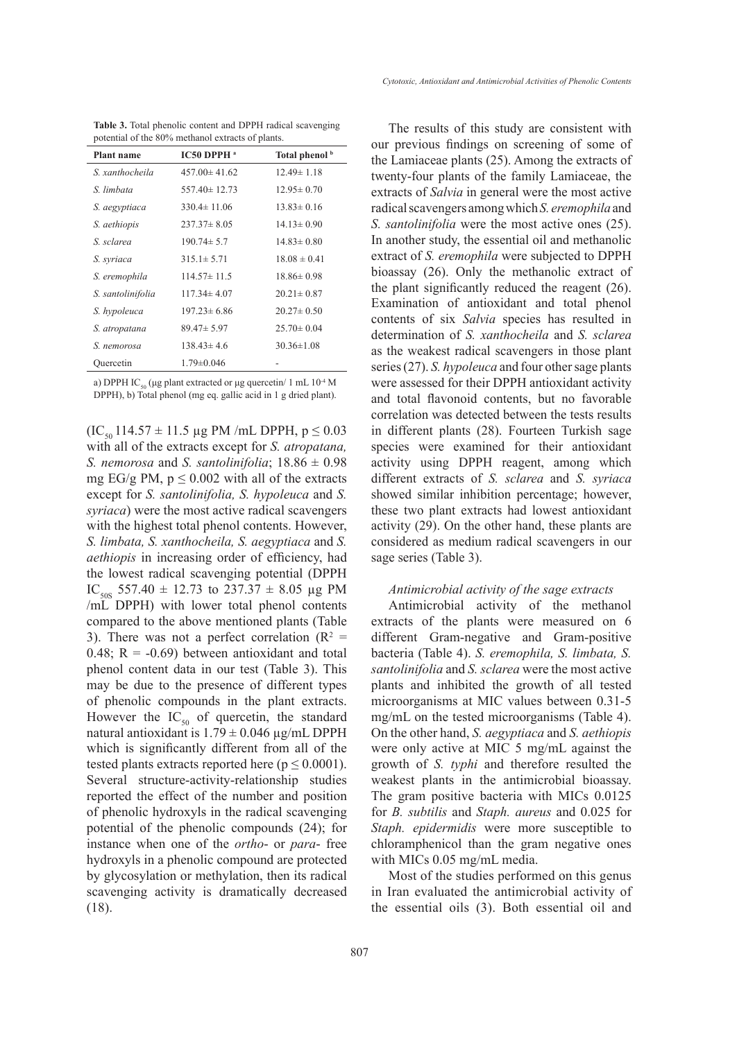**Table 3.** Total phenolic content and DPPH radical scavenging potential of the 80% methanol extracts of plants.

| <b>Plant name</b> | IC50 DPPH <sup>a</sup> | Total phenol <sup>b</sup> |
|-------------------|------------------------|---------------------------|
| S. xanthocheila   | $457.00 \pm 41.62$     | $12.49 \pm 1.18$          |
| S limbata         | $557.40 \pm 12.73$     | $12.95 \pm 0.70$          |
| S. aegyptiaca     | $330.4 \pm 11.06$      | $13.83 \pm 0.16$          |
| S. aethiopis      | $237.37 \pm 8.05$      | $14.13 \pm 0.90$          |
| S. sclarea        | $190.74 \pm 5.7$       | $14.83 \pm 0.80$          |
| S. syriaca        | $315.1 \pm 5.71$       | $18.08 \pm 0.41$          |
| S. eremophila     | $114.57 \pm 11.5$      | $18.86 \pm 0.98$          |
| S. santolinifolia | $117.34 \pm 4.07$      | $20.21 \pm 0.87$          |
| S. hypoleuca      | $197.23 \pm 6.86$      | $20.27 \pm 0.50$          |
| S. atropatana     | $89.47 \pm 5.97$       | $25.70 \pm 0.04$          |
| S. nemorosa       | $138.43 \pm 4.6$       | $30.36 \pm 1.08$          |
| Ouercetin         | $1.79 \pm 0.046$       |                           |
|                   |                        |                           |

a) DPPH IC<sub>50</sub> (μg plant extracted or μg quercetin/ 1 mL  $10<sup>-4</sup>$  M DPPH), b) Total phenol (mg eq. gallic acid in 1 g dried plant).

 $(IC_{50} 114.57 \pm 11.5 \,\mu g$  PM /mL DPPH,  $p \le 0.03$ with all of the extracts except for *S. atropatana, S. nemorosa* and *S. santolinifolia*;  $18.86 \pm 0.98$ mg EG/g PM,  $p \le 0.002$  with all of the extracts except for *S. santolinifolia, S. hypoleuca* and *S. syriaca*) were the most active radical scavengers with the highest total phenol contents. However, *S. limbata, S. xanthocheila, S. aegyptiaca* and *S. aethiopis* in increasing order of efficiency, had the lowest radical scavenging potential (DPPH IC<sub>50S</sub> 557.40  $\pm$  12.73 to 237.37  $\pm$  8.05 µg PM /mL DPPH) with lower total phenol contents compared to the above mentioned plants (Table 3). There was not a perfect correlation ( $\mathbb{R}^2$  = 0.48;  $R = -0.69$ ) between antioxidant and total phenol content data in our test (Table 3). This may be due to the presence of different types of phenolic compounds in the plant extracts. However the  $IC_{50}$  of quercetin, the standard natural antioxidant is  $1.79 \pm 0.046$  µg/mL DPPH which is significantly different from all of the tested plants extracts reported here ( $p \le 0.0001$ ). Several structure-activity-relationship studies reported the effect of the number and position of phenolic hydroxyls in the radical scavenging potential of the phenolic compounds (24); for instance when one of the *ortho*- or *para*- free hydroxyls in a phenolic compound are protected by glycosylation or methylation, then its radical scavenging activity is dramatically decreased (18).

The results of this study are consistent with our previous findings on screening of some of the Lamiaceae plants (25). Among the extracts of twenty-four plants of the family Lamiaceae, the extracts of *Salvia* in general were the most active radical scavengers among which *S. eremophila* and *S. santolinifolia* were the most active ones (25). In another study, the essential oil and methanolic extract of *S. eremophila* were subjected to DPPH bioassay (26). Only the methanolic extract of the plant significantly reduced the reagent (26). Examination of antioxidant and total phenol contents of six *Salvia* species has resulted in determination of *S. xanthocheila* and *S. sclarea* as the weakest radical scavengers in those plant series (27). *S. hypoleuca* and four other sage plants were assessed for their DPPH antioxidant activity and total flavonoid contents, but no favorable correlation was detected between the tests results in different plants (28). Fourteen Turkish sage species were examined for their antioxidant activity using DPPH reagent, among which different extracts of *S. sclarea* and *S. syriaca* showed similar inhibition percentage; however, these two plant extracts had lowest antioxidant activity (29). On the other hand, these plants are considered as medium radical scavengers in our sage series (Table 3).

## *Antimicrobial activity of the sage extracts*

Antimicrobial activity of the methanol extracts of the plants were measured on 6 different Gram-negative and Gram-positive bacteria (Table 4). *S. eremophila, S. limbata, S. santolinifolia* and *S. sclarea* were the most active plants and inhibited the growth of all tested microorganisms at MIC values between 0.31-5 mg/mL on the tested microorganisms (Table 4). On the other hand, *S. aegyptiaca* and *S. aethiopis*  were only active at MIC 5 mg/mL against the growth of *S. typhi* and therefore resulted the weakest plants in the antimicrobial bioassay. The gram positive bacteria with MICs 0.0125 for *B. subtilis* and *Staph. aureus* and 0.025 for *Staph. epidermidis* were more susceptible to chloramphenicol than the gram negative ones with MICs 0.05 mg/mL media.

Most of the studies performed on this genus in Iran evaluated the antimicrobial activity of the essential oils (3). Both essential oil and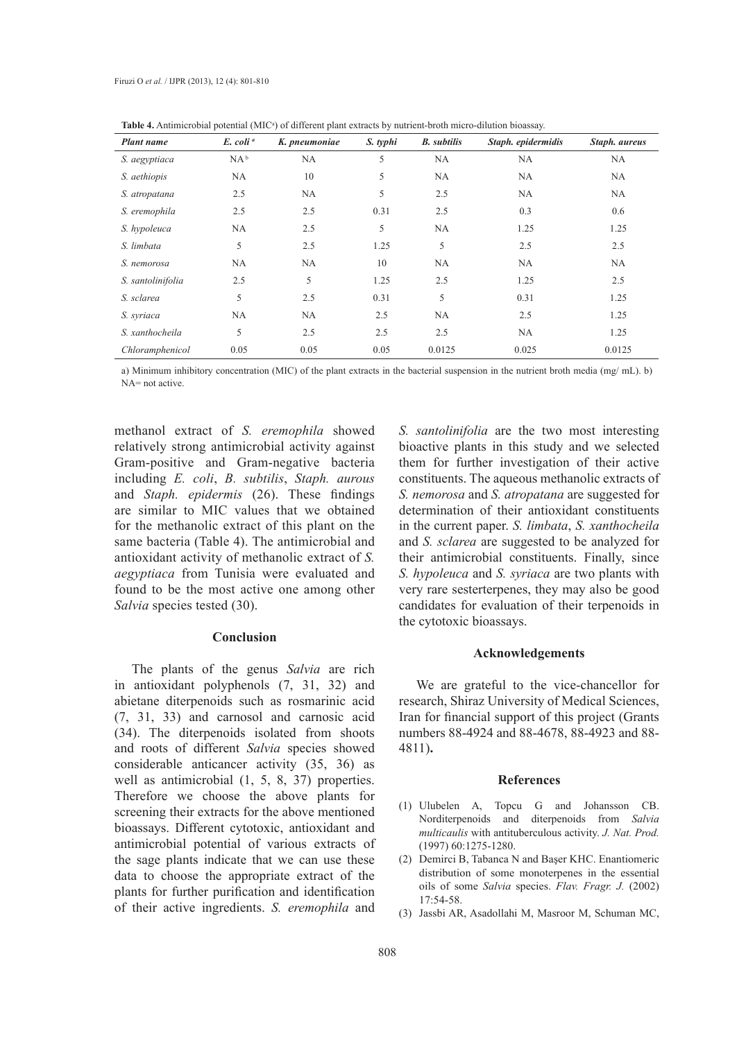| <b>Plant name</b> | E. coli <sup>a</sup> | K. pneumoniae | S. typhi | <b>B.</b> subtilis | Staph. epidermidis | Staph. aureus |
|-------------------|----------------------|---------------|----------|--------------------|--------------------|---------------|
| S. aegyptiaca     | $NA^b$               | NA            | 5        | NA                 | NA                 | NA            |
| S. aethiopis      | NA                   | 10            | 5        | NA                 | NА                 | NA            |
| S. atropatana     | 2.5                  | <b>NA</b>     | 5        | 2.5                | <b>NA</b>          | NA            |
| S. eremophila     | 2.5                  | 2.5           | 0.31     | 2.5                | 0.3                | 0.6           |
| S. hypoleuca      | NA                   | 2.5           | 5        | NA                 | 1.25               | 1.25          |
| S. limbata        | 5                    | 2.5           | 1.25     | 5                  | 2.5                | 2.5           |
| S. nemorosa       | NA                   | NA            | 10       | NA                 | NA                 | NA            |
| S. santolinifolia | 2.5                  | 5             | 1.25     | 2.5                | 1.25               | 2.5           |
| S. sclarea        | 5                    | 2.5           | 0.31     | 5                  | 0.31               | 1.25          |
| S. syriaca        | NA                   | NA            | 2.5      | NA                 | 2.5                | 1.25          |
| S. xanthocheila   | 5                    | 2.5           | 2.5      | 2.5                | <b>NA</b>          | 1.25          |
| Chloramphenicol   | 0.05                 | 0.05          | 0.05     | 0.0125             | 0.025              | 0.0125        |

Table 4. Antimicrobial potential (MIC<sup>a</sup>) of different plant extracts by nutrient-broth micro-dilution bioassay.

a) Minimum inhibitory concentration (MIC) of the plant extracts in the bacterial suspension in the nutrient broth media (mg/ mL). b) NA= not active.

methanol extract of *S. eremophila* showed relatively strong antimicrobial activity against Gram-positive and Gram-negative bacteria including *E. coli*, *B. subtilis*, *Staph. aurous* and *Staph. epidermis* (26). These findings are similar to MIC values that we obtained for the methanolic extract of this plant on the same bacteria (Table 4). The antimicrobial and antioxidant activity of methanolic extract of *S. aegyptiaca* from Tunisia were evaluated and found to be the most active one among other *Salvia* species tested (30).

### **Conclusion**

The plants of the genus *Salvia* are rich in antioxidant polyphenols (7, 31, 32) and abietane diterpenoids such as rosmarinic acid (7, 31, 33) and carnosol and carnosic acid (34). The diterpenoids isolated from shoots and roots of different *Salvia* species showed considerable anticancer activity (35, 36) as well as antimicrobial (1, 5, 8, 37) properties. Therefore we choose the above plants for screening their extracts for the above mentioned bioassays. Different cytotoxic, antioxidant and antimicrobial potential of various extracts of the sage plants indicate that we can use these data to choose the appropriate extract of the plants for further purification and identification of their active ingredients. *S. eremophila* and

*S. santolinifolia* are the two most interesting bioactive plants in this study and we selected them for further investigation of their active constituents. The aqueous methanolic extracts of *S. nemorosa* and *S. atropatana* are suggested for determination of their antioxidant constituents in the current paper. *S. limbata*, *S. xanthocheila* and *S. sclarea* are suggested to be analyzed for their antimicrobial constituents. Finally, since *S. hypoleuca* and *S. syriaca* are two plants with very rare sesterterpenes, they may also be good candidates for evaluation of their terpenoids in the cytotoxic bioassays.

## **Acknowledgements**

We are grateful to the vice-chancellor for research, Shiraz University of Medical Sciences, Iran for financial support of this project (Grants numbers 88-4924 and 88-4678, 88-4923 and 88- 4811)**.**

## **References**

- Ulubelen A, Topcu G and Johansson CB. (1) Norditerpenoids and diterpenoids from *Salvia multicaulis* with antituberculous activity. *J. Nat. Prod.*  (1997) 60:1275-1280.
- Demirci B, Tabanca N and Başer KHC. Enantiomeric (2) distribution of some monoterpenes in the essential oils of some *Salvia* species. *Flav. Fragr. J.* (2002)  $17.54 - 58$
- (3) Jassbi AR, Asadollahi M, Masroor M, Schuman MC,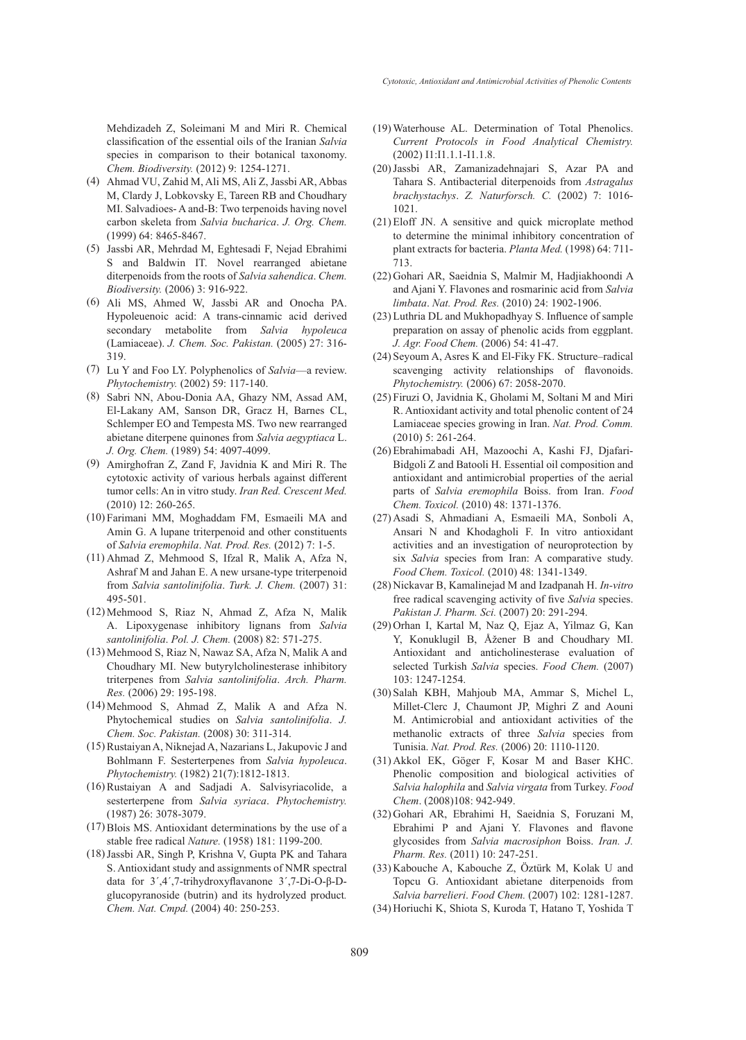Mehdizadeh Z, Soleimani M and Miri R. Chemical classification of the essential oils of the Iranian *Salvia*  species in comparison to their botanical taxonomy. *Chem. Biodiversity.* (2012) 9: 1254-1271.

- Ahmad VU, Zahid M, Ali MS, Ali Z, Jassbi AR, Abbas (4) M, Clardy J, Lobkovsky E, Tareen RB and Choudhary MI. Salvadioes- A and-B: Two terpenoids having novel carbon skeleta from *Salvia bucharica*. *J. Org. Chem.*  (1999) 64: 8465-8467.
- (5) Jassbi AR, Mehrdad M, Eghtesadi F, Nejad Ebrahimi S and Baldwin IT. Novel rearranged abietane diterpenoids from the roots of *Salvia sahendica*. *Chem. Biodiversity.* (2006) 3: 916-922.
- Ali MS, Ahmed W, Jassbi AR and Onocha PA. (6) Hypoleuenoic acid: A trans-cinnamic acid derived secondary metabolite from *Salvia hypoleuca* (Lamiaceae). *J. Chem. Soc. Pakistan.* (2005) 27: 316- 319.
- Lu Y and Foo LY. Polyphenolics of *Salvia*—a review. (7) *Phytochemistry.* (2002) 59: 117-140.
- (8) Sabri NN, Abou-Donia AA, Ghazy NM, Assad AM, El-Lakany AM, Sanson DR, Gracz H, Barnes CL, Schlemper EO and Tempesta MS. Two new rearranged abietane diterpene quinones from *Salvia aegyptiaca* L. *J. Org. Chem.* (1989) 54: 4097-4099.
- Amirghofran Z, Zand F, Javidnia K and Miri R. The (9) cytotoxic activity of various herbals against different tumor cells: An in vitro study. *Iran Red. Crescent Med.*  (2010) 12: 260-265.
- Farimani MM, Moghaddam FM, Esmaeili MA and (10) Amin G. A lupane triterpenoid and other constituents of *Salvia eremophila*. *Nat. Prod. Res.* (2012) 7: 1-5.
- Ahmad Z, Mehmood S, Ifzal R, Malik A, Afza N, (11) Ashraf M and Jahan E. A new ursane-type triterpenoid from *Salvia santolinifolia*. *Turk. J. Chem.* (2007) 31: 495-501.
- Mehmood S, Riaz N, Ahmad Z, Afza N, Malik (12) A. Lipoxygenase inhibitory lignans from *Salvia santolinifolia*. *Pol. J. Chem.* (2008) 82: 571-275.
- Mehmood S, Riaz N, Nawaz SA, Afza N, Malik A and (13) Choudhary MI. New butyrylcholinesterase inhibitory triterpenes from *Salvia santolinifolia*. *Arch. Pharm. Res.* (2006) 29: 195-198.
- Mehmood S, Ahmad Z, Malik A and Afza N. (14) Phytochemical studies on *Salvia santolinifolia*. *J. Chem. Soc. Pakistan.* (2008) 30: 311-314.
- (15) Rustaiyan A, Niknejad A, Nazarians L, Jakupovic J and Bohlmann F. Sesterterpenes from *Salvia hypoleuca*. *Phytochemistry.* (1982) 21(7):1812-1813.
- (16) Rustaiyan A and Sadjadi A. Salvisyriacolide, a sesterterpene from *Salvia syriaca*. *Phytochemistry.*  (1987) 26: 3078-3079.
- $(17)$  Blois MS. Antioxidant determinations by the use of a stable free radical *Nature.* (1958) 181: 1199-200.
- (18) Jassbi AR, Singh P, Krishna V, Gupta PK and Tahara S. Antioxidant study and assignments of NMR spectral data for 3´,4´,7-trihydroxyflavanone 3´,7-Di-O-β-Dglucopyranoside (butrin) and its hydrolyzed product*. Chem. Nat. Cmpd.* (2004) 40: 250-253.
- Waterhouse AL. Determination of Total Phenolics. (19) *Current Protocols in Food Analytical Chemistry.*  (2002) I1:I1.1.1-I1.1.8.
- (20) Jassbi AR, Zamanizadehnajari S, Azar PA and Tahara S. Antibacterial diterpenoids from *Astragalus brachystachys*. *Z. Naturforsch. C.* (2002) 7: 1016- 1021.
- $(21)$  Eloff JN. A sensitive and quick microplate method to determine the minimal inhibitory concentration of plant extracts for bacteria. *Planta Med.* (1998) 64: 711- 713.
- (22) Gohari AR, Saeidnia S, Malmir M, Hadjiakhoondi A and Ajani Y. Flavones and rosmarinic acid from *Salvia limbata*. *Nat. Prod. Res.* (2010) 24: 1902-1906.
- (23) Luthria DL and Mukhopadhyay S. Influence of sample preparation on assay of phenolic acids from eggplant. *J. Agr. Food Chem.* (2006) 54: 41-47.
- (24) Seyoum A, Asres K and El-Fiky FK. Structure–radical scavenging activity relationships of flavonoids. *Phytochemistry.* (2006) 67: 2058-2070.
- Firuzi O, Javidnia K, Gholami M, Soltani M and Miri (25) R. Antioxidant activity and total phenolic content of 24 Lamiaceae species growing in Iran. *Nat. Prod. Comm.*  (2010) 5: 261-264.
- Ebrahimabadi AH, Mazoochi A, Kashi FJ, Djafari-(26) Bidgoli Z and Batooli H. Essential oil composition and antioxidant and antimicrobial properties of the aerial parts of *Salvia eremophila* Boiss. from Iran. *Food Chem. Toxicol.* (2010) 48: 1371-1376.
- Asadi S, Ahmadiani A, Esmaeili MA, Sonboli A, (27) Ansari N and Khodagholi F. In vitro antioxidant activities and an investigation of neuroprotection by six *Salvia* species from Iran: A comparative study. *Food Chem. Toxicol.* (2010) 48: 1341-1349.
- (28) Nickavar B, Kamalinejad M and Izadpanah H. *In-vitro* free radical scavenging activity of five *Salvia* species. *Pakistan J. Pharm. Sci.* (2007) 20: 291-294.
- (29) Orhan I, Kartal M, Naz Q, Ejaz A, Yilmaz G, Kan Y, Konuklugil B, Åžener B and Choudhary MI. Antioxidant and anticholinesterase evaluation of selected Turkish *Salvia* species. *Food Chem.* (2007) 103: 1247-1254.
- (30) Salah KBH, Mahjoub MA, Ammar S, Michel L, Millet-Clerc J, Chaumont JP, Mighri Z and Aouni M. Antimicrobial and antioxidant activities of the methanolic extracts of three *Salvia* species from Tunisia. *Nat. Prod. Res.* (2006) 20: 1110-1120.
- (31) Akkol EK, Göger F, Kosar M and Baser KHC. Phenolic composition and biological activities of *Salvia halophila* and *Salvia virgata* from Turkey. *Food Chem*. (2008)108: 942-949.
- (32) Gohari AR, Ebrahimi H, Saeidnia S, Foruzani M, Ebrahimi P and Ajani Y. Flavones and flavone glycosides from *Salvia macrosiphon* Boiss. *Iran. J. Pharm. Res.* (2011) 10: 247-251.
- (33) Kabouche A, Kabouche Z, Öztürk M, Kolak U and Topcu G. Antioxidant abietane diterpenoids from *Salvia barrelieri*. *Food Chem.* (2007) 102: 1281-1287.
- (34) Horiuchi K, Shiota S, Kuroda T, Hatano T, Yoshida T